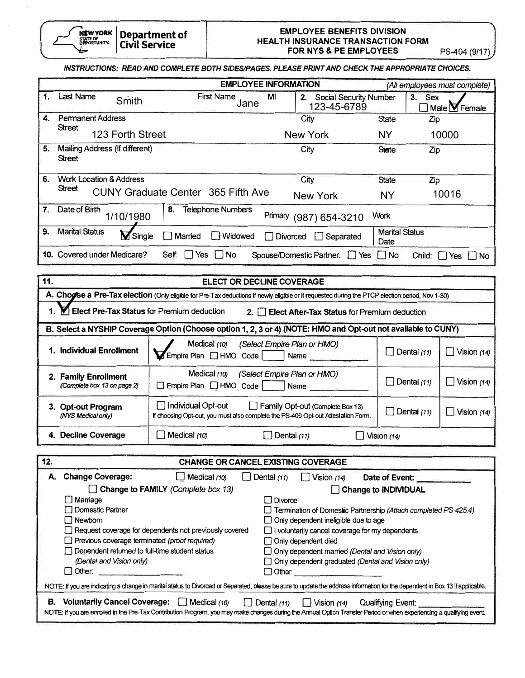

## **EMPLOYEE BENEFITS DIVISION HEAL TH INSURANCE TRANSACTION FORM FOR NYS** & **PE EMPLOYEES** PS-404 (9/17)

|  |  | INSTRUCTIONS: READ AND COMPLETE BOTH SIDES/PAGES, PLEASE PRINT AND CHECK THE APPROPRIATE CHOICES. |
|--|--|---------------------------------------------------------------------------------------------------|
|  |  |                                                                                                   |

|     |                                                 |                                           | <b>EMPLOYEE INFORMATION</b>                       |                               |                                                |  |
|-----|-------------------------------------------------|-------------------------------------------|---------------------------------------------------|-------------------------------|------------------------------------------------|--|
|     | <b>Last Name</b><br>Smith                       | <b>First Name</b><br>Jane                 | Social Security Number<br>MI<br>2.<br>123-45-6789 |                               | 3.<br><b>Sex</b><br>Male $\blacksquare$ Female |  |
| 4.  | <b>Permanent Address</b>                        |                                           | City                                              | <b>State</b>                  | Zip                                            |  |
|     | <b>Street</b><br>123 Forth Street               |                                           | <b>New York</b>                                   | NΥ                            | 10000                                          |  |
| 5.  | Mailing Address (If different)<br><b>Street</b> |                                           | City                                              | <b>State</b>                  | Zip                                            |  |
| 6.  | <b>Work Location &amp; Address</b>              |                                           | City                                              | <b>State</b>                  | Zip                                            |  |
|     | <b>Street</b>                                   | <b>CUNY Graduate Center 365 Fifth Ave</b> | <b>New York</b>                                   | <b>NY</b>                     | 10016                                          |  |
| 7.  | Date of Birth<br>1/10/1980                      | 8.<br><b>Telephone Numbers</b>            | Primary<br>(987) 654-3210                         | Work                          |                                                |  |
| 9.  | <b>Marital Status</b><br>Single                 | Married<br>Widowed<br>$\mathsf{I}$        | Divorced<br>Separated                             | <b>Marital Status</b><br>Date |                                                |  |
| 10. | Covered under Medicare?                         | Self.<br><b>No</b><br>Yes                 | Spouse/Domestic Partner:<br>l Yes                 | l I No                        | Child:<br>l No<br>Yes                          |  |

| <b>ELECT OR DECLINE COVERAGE</b><br>11.             |                                                                                                                                                   |                    |               |  |  |  |  |  |
|-----------------------------------------------------|---------------------------------------------------------------------------------------------------------------------------------------------------|--------------------|---------------|--|--|--|--|--|
|                                                     | A. Chogse a Pre-Tax election (Only eligible for Pre-Tax deductions if newly eligible or if requested during the PTCP election period, Nov 1-30)   |                    |               |  |  |  |  |  |
|                                                     | 1. Y Elect Pre-Tax Status for Premium deduction<br>2. <b>Elect After-Tax Status for Premium deduction</b>                                         |                    |               |  |  |  |  |  |
|                                                     | B. Select a NYSHIP Coverage Option (Choose option 1, 2, 3 or 4) (NOTE: HMO and Opt-out not available to CUNY)                                     |                    |               |  |  |  |  |  |
| 1. Individual Enrollment                            | Medical (10) (Select Empire Plan or HMO)<br>$\Box$ Dental (11)<br>Vision $(14)$<br>Empire Plan   HMO Code   Name                                  |                    |               |  |  |  |  |  |
| 2. Family Enrollment<br>(Complete box 13 on page 2) | (Select Empire Plan or HMO)<br>Medical $(10)$<br>Empire Plan HMO Code<br>Name                                                                     | $\Box$ Dental (11) | Vision $(14)$ |  |  |  |  |  |
| 3. Opt-out Program<br>(NYS Medical only)            | Individual Opt-out<br>$\Box$ Family Opt-out (Complete Box 13)<br>If choosing Opt-out, you must also complete the PS-409 Opt-out Attestation Form. | $\Box$ Dental (11) | Vision $(14)$ |  |  |  |  |  |
| 4. Decline Coverage                                 | Medical (10)<br>Dental $(11)$                                                                                                                     | Vision $(14)$      |               |  |  |  |  |  |

| 12.                                                                                                                                                                          | <b>CHANGE OR CANCEL EXISTING COVERAGE</b>                                                                                                                                                                                                                                      |                                    |                    |                                             |                                                                        |  |  |  |  |
|------------------------------------------------------------------------------------------------------------------------------------------------------------------------------|--------------------------------------------------------------------------------------------------------------------------------------------------------------------------------------------------------------------------------------------------------------------------------|------------------------------------|--------------------|---------------------------------------------|------------------------------------------------------------------------|--|--|--|--|
| А.                                                                                                                                                                           | <b>Change Coverage:</b>                                                                                                                                                                                                                                                        | $\Box$ Medical (10)                | $\Box$ Dental (11) | $\bigcup$ Vision (14)                       | Date of Event:                                                         |  |  |  |  |
|                                                                                                                                                                              |                                                                                                                                                                                                                                                                                | Change to FAMILY (Complete box 13) |                    |                                             | <b>Change to INDIVIDUAL</b>                                            |  |  |  |  |
|                                                                                                                                                                              | □ Mamage                                                                                                                                                                                                                                                                       |                                    | $\Box$ Divorce     |                                             |                                                                        |  |  |  |  |
|                                                                                                                                                                              | □ Domestic Partner                                                                                                                                                                                                                                                             |                                    |                    |                                             | $\Box$ Termination of Domestic Partnership (Attach completed PS-425.4) |  |  |  |  |
|                                                                                                                                                                              | Rewborn                                                                                                                                                                                                                                                                        |                                    |                    | $\Box$ Only dependent ineligible due to age |                                                                        |  |  |  |  |
|                                                                                                                                                                              | Request coverage for dependents not previously covered                                                                                                                                                                                                                         |                                    |                    |                                             | $\Box$ I voluntarily cancel coverage for my dependents                 |  |  |  |  |
|                                                                                                                                                                              | Previous coverage terminated (proof required)                                                                                                                                                                                                                                  |                                    |                    | Only dependent died                         |                                                                        |  |  |  |  |
|                                                                                                                                                                              | Dependent returned to full-time student status                                                                                                                                                                                                                                 |                                    |                    |                                             | Only dependent married (Dental and Vision only)                        |  |  |  |  |
|                                                                                                                                                                              | (Dental and Vision only)                                                                                                                                                                                                                                                       |                                    |                    |                                             | Only dependent graduated (Dental and Vision only)                      |  |  |  |  |
|                                                                                                                                                                              | $\Box$ Other:                                                                                                                                                                                                                                                                  |                                    | l Other:           |                                             |                                                                        |  |  |  |  |
| NOTE: If you are indicating a change in marital status to Divorced or Separated, please be sure to update the address information for the dependent in Box 13 if applicable. |                                                                                                                                                                                                                                                                                |                                    |                    |                                             |                                                                        |  |  |  |  |
| В.                                                                                                                                                                           | Voluntarily Cancel Coverage: Medical (10)<br>$\Box$ Dental (11)<br>Vision $(14)$<br>Qualifying Event:<br>NOTE: If you are enrolled in the Pre-Tax Contribution Program, you may make changes during the Annual Option Transfer Period or when experiencing a qualifying event. |                                    |                    |                                             |                                                                        |  |  |  |  |